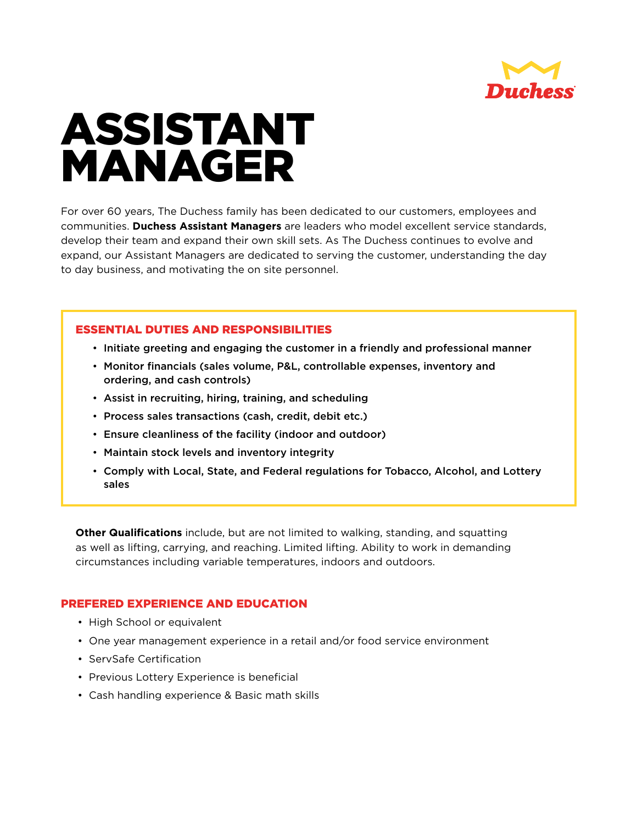

## ASSISTANT MANAGER

For over 60 years, The Duchess family has been dedicated to our customers, employees and communities. **Duchess Assistant Managers** are leaders who model excellent service standards, develop their team and expand their own skill sets. As The Duchess continues to evolve and expand, our Assistant Managers are dedicated to serving the customer, understanding the day to day business, and motivating the on site personnel.

## ESSENTIAL DUTIES AND RESPONSIBILITIES

- Initiate greeting and engaging the customer in a friendly and professional manner
- Monitor financials (sales volume, P&L, controllable expenses, inventory and ordering, and cash controls)
- Assist in recruiting, hiring, training, and scheduling
- Process sales transactions (cash, credit, debit etc.)
- Ensure cleanliness of the facility (indoor and outdoor)
- Maintain stock levels and inventory integrity
- Comply with Local, State, and Federal regulations for Tobacco, Alcohol, and Lottery sales

**Other Qualifications** include, but are not limited to walking, standing, and squatting as well as lifting, carrying, and reaching. Limited lifting. Ability to work in demanding circumstances including variable temperatures, indoors and outdoors.

## PREFERED EXPERIENCE AND EDUCATION

- High School or equivalent
- One year management experience in a retail and/or food service environment
- ServSafe Certification
- Previous Lottery Experience is beneficial
- Cash handling experience & Basic math skills